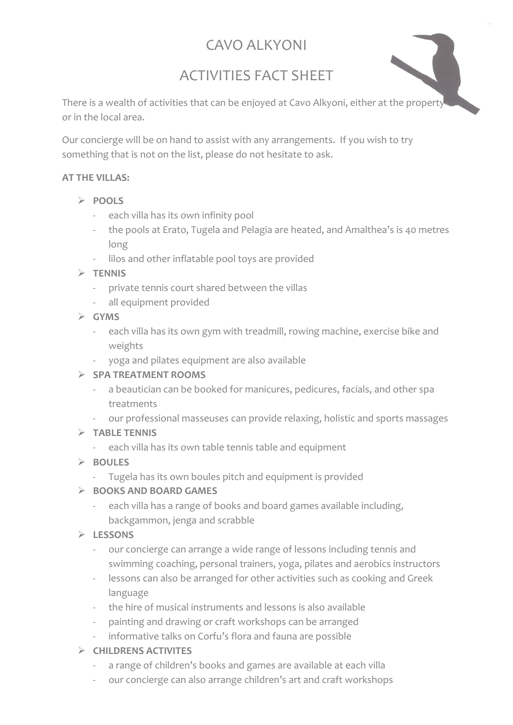# CAVO ALKYONI

# ACTIVITIES FACT SHEET

There is a wealth of activities that can be enjoyed at Cavo Alkyoni, either at the property or in the local area.

Our concierge will be on hand to assist with any arrangements. If you wish to try something that is not on the list, please do not hesitate to ask.

#### **AT THE VILLAS:**

- ➢ **POOLS**
	- each villa has its own infinity pool
	- the pools at Erato, Tugela and Pelagia are heated, and Amalthea's is 40 metres long
	- lilos and other inflatable pool toys are provided

#### ➢ **TENNIS**

- private tennis court shared between the villas
- all equipment provided
- ➢ **GYMS**
	- each villa has its own gym with treadmill, rowing machine, exercise bike and weights
	- yoga and pilates equipment are also available

### ➢ **SPA TREATMENT ROOMS**

- a beautician can be booked for manicures, pedicures, facials, and other spa treatments
- our professional masseuses can provide relaxing, holistic and sports massages

### ➢ **TABLE TENNIS**

- each villa has its own table tennis table and equipment

### ➢ **BOULES**

- Tugela has its own boules pitch and equipment is provided

### ➢ **BOOKS AND BOARD GAMES**

each villa has a range of books and board games available including, backgammon, jenga and scrabble

### ➢ **LESSONS**

- our concierge can arrange a wide range of lessons including tennis and swimming coaching, personal trainers, yoga, pilates and aerobics instructors
- lessons can also be arranged for other activities such as cooking and Greek language
- the hire of musical instruments and lessons is also available
- painting and drawing or craft workshops can be arranged
- informative talks on Corfu's flora and fauna are possible

### ➢ **CHILDRENS ACTIVITES**

- a range of children's books and games are available at each villa
- our concierge can also arrange children's art and craft workshops